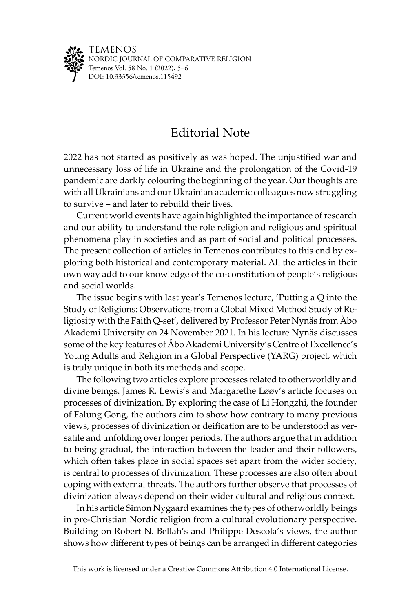

TEMENOS NORDIC JOURNAL OF COMPARATIVE RELIGION Temenos Vol. 58 No. 1 (2022), 5–6 DOI: [10.33356/temenos.115492](http://doi.org/10.33356/temenos.115492)

## Editorial Note

2022 has not started as positively as was hoped. The unjustified war and unnecessary loss of life in Ukraine and the prolongation of the Covid-19 pandemic are darkly colouring the beginning of the year. Our thoughts are with all Ukrainians and our Ukrainian academic colleagues now struggling to survive – and later to rebuild their lives.

Current world events have again highlighted the importance of research and our ability to understand the role religion and religious and spiritual phenomena play in societies and as part of social and political processes. The present collection of articles in Temenos contributes to this end by exploring both historical and contemporary material. All the articles in their own way add to our knowledge of the co-constitution of people's religious and social worlds.

The issue begins with last year's Temenos lecture, 'Putting a Q into the Study of Religions: Observations from a Global Mixed Method Study of Religiosity with the Faith Q-set', delivered by Professor Peter Nynäs from Åbo Akademi University on 24 November 2021. In his lecture Nynäs discusses some of the key features of Åbo Akademi University's Centre of Excellence's Young Adults and Religion in a Global Perspective (YARG) project, which is truly unique in both its methods and scope.

The following two articles explore processes related to otherworldly and divine beings. James R. Lewis's and Margarethe Løøv's article focuses on processes of divinization. By exploring the case of Li Hongzhi, the founder of Falung Gong, the authors aim to show how contrary to many previous views, processes of divinization or deification are to be understood as versatile and unfolding over longer periods. The authors argue that in addition to being gradual, the interaction between the leader and their followers, which often takes place in social spaces set apart from the wider society, is central to processes of divinization. These processes are also often about coping with external threats. The authors further observe that processes of divinization always depend on their wider cultural and religious context.

In his article Simon Nygaard examines the types of otherworldly beings in pre-Christian Nordic religion from a cultural evolutionary perspective. Building on Robert N. Bellah's and Philippe Descola's views, the author shows how different types of beings can be arranged in different categories

This work is licensed under a Creative Commons Attribution 4.0 International License.